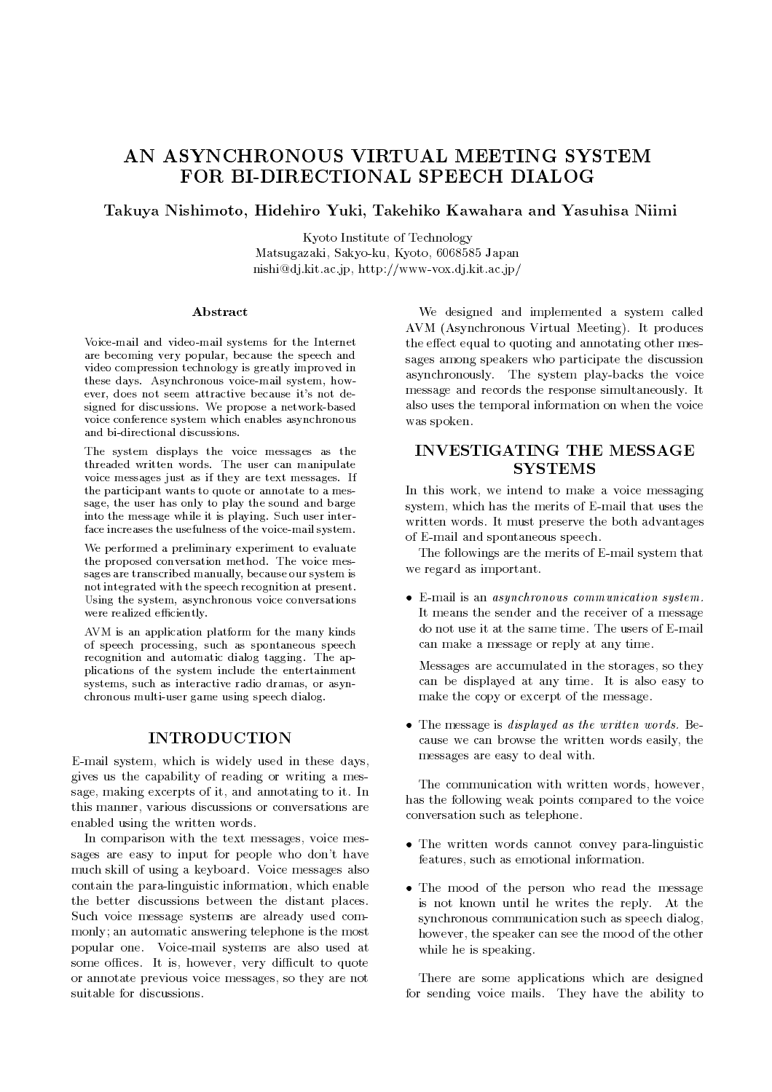# AN ASYNCHRONOUS VIRTUAL MEETING SYSTEM FOR BI-DIRECTIONAL SPEECH DIALOG

# Takuya Nishimoto, Hidehiro Yuki, Takehiko Kawahara and Yasuhisa Niimi

Kyoto Institute of Technology Matsugazaki, Sakyo-ku, Kyoto, 6068585 Japan nishi@dj.kit.ac.jp, http://www-vox.dj.kit.ac.jp/

### Abstract

Voice-mail and video-mail systems for the Internet are becoming very popular, because the speech and video compression technology is greatly improved in these days. Asynchronous voice-mail system, however, does not seem attractive because it's not designed for discussions. We propose a network-based voice conference system which enables asynchronous and bi-directional discussions.

The system displays the voice messages as the threaded written words. The user can manipulate voice messages just as if they are text messages. If the participant wants to quote or annotate to a message, the user has only to play the sound and barge into the message while it is playing. Such user interface increases the usefulness of the voice-mail system.

We performed a preliminary experiment to evaluate the proposed conversation method. The voice messages are transcribed manually, because our system is not integrated with the speech recognition at present. Using the system, asynchronous voice conversations were realized efficiently.

AVM is an application platform for the many kinds of speech processing, such as spontaneous speech recognition and automatic dialog tagging. The applications of the system include the entertainment systems, such as interactive radio dramas, or asynchronous multi-user game using speech dialog.

## **INTRODUCTION**

E-mail system, which is widely used in these days, gives us the capability of reading or writing a message, making excerpts of it, and annotating to it. In this manner, various discussions or conversations are enabled using the written words.

In comparison with the text messages, voice messages are easy to input for people who don't have much skill of using a keyboard. Voice messages also contain the para-linguistic information, which enable the better discussions between the distant places. Such voice message systems are already used commonly; an automatic answering telephone is the most popular one. Voice-mail systems are also used at some offices. It is, however, very difficult to quote or annotate previous voice messages, so they are not suitable for discussions.

We designed and implemented a system called AVM (Asynchronous Virtual Meeting). It produces the effect equal to quoting and annotating other messages among speakers who participate the discussion asynchronously. The system play-backs the voice message and records the response simultaneously. It also uses the temporal information on when the voice was spoken.

# **INVESTIGATING THE MESSAGE SYSTEMS**

In this work, we intend to make a voice messaging system, which has the merits of E-mail that uses the written words. It must preserve the both advantages of E-mail and spontaneous speech.

The followings are the merits of E-mail system that we regard as important.

 E-mail is an asynchronous communication system. It means the sender and the receiver of a message do not use it at the same time. The users of E-mail can make a message or reply at any time.

Messages are accumulated in the storages, so they can be displayed at any time. It is also easy to make the copy or excerpt of the message.

 $\bullet$  The message is *displayed as the written words*. Because we can browse the written words easily, the messages are easy to deal with.

The communication with written words, however, has the following weak points compared to the voice conversation such as telephone.

- The written words cannot convey para-linguistic features, such as emotional information.
- The mood of the person who read the message is not known until he writes the reply. At the synchronous communication such as speech dialog, however, the speaker can see the mood of the other while he is speaking.

There are some applications which are designed for sending voice mails. They have the ability to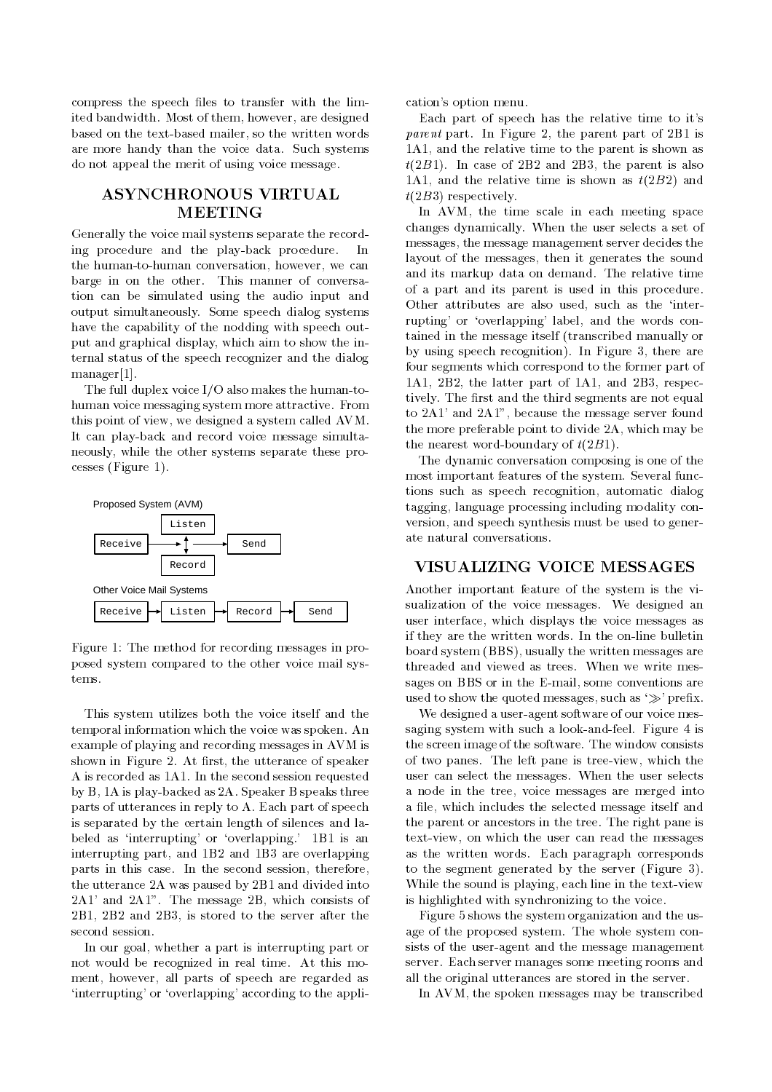compress the speech files to transfer with the limited bandwidth. Most of them, however, are designed based on the text-based mailer, so the written words are more handy than the voice data. Such systems do not appeal the merit of using voice message.

# ASYNCHRONOUS VIRTUAL

Generally the voice mail systems separate the recording procedure and the play-back procedure. In the human-to-human conversation, however, we can barge in on the other. This manner of conversation can be simulated using the audio input and output simultaneously. Some speech dialog systems have the capability of the nodding with speech output and graphical display, which aim to show the internal status of the speech recognizer and the dialog manager[1].

The full duplex voice I/O also makes the human-tohuman voice messaging system more attractive. From this point of view, we designed a system called AVM. It can play-back and record voice message simultaneously, while the other systems separate these processes (Figure 1).



Figure 1: The method for recording messages in proposed system compared to the other voice mail systems.

This system utilizes both the voice itself and the temporal information which the voice was spoken. An example of playing and recording messages in AVM is shown in Figure 2. At first, the utterance of speaker A is recorded as 1A1. In the second session requested by B, 1A is play-backed as 2A. Speaker B speaks three parts of utterances in reply to A. Each part of speech is separated by the certain length of silences and labeled as 'interrupting' or 'overlapping.' 1B1 is an interrupting part, and 1B2 and 1B3 are overlapping parts in this case. In the second session, therefore, the utterance 2A was paused by 2B1 and divided into 2A1' and 2A1". The message 2B, which consists of 2B1, 2B2 and 2B3, is stored to the server after the second session.

In our goal, whether a part is interrupting part or not would be recognized in real time. At this mo ment, however, all parts of speech are regarded as `interrupting' or `overlapping' according to the application's option menu.

Each part of speech has the relative time to it's parent part. In Figure 2, the parent part of 2B1 is 1A1, and the relative time to the parent is shown as  $t(2B1)$ . In case of 2B2 and 2B3, the parent is also 1A1, and the relative time is shown as  $t(2B2)$  and  $t(2B3)$  respectively.

In AVM, the time scale in each meeting space changes dynamically. When the user selects a set of messages, the message management server decides the layout of the messages, then it generates the sound and its markup data on demand. The relative time of a part and its parent is used in this procedure. Other attributes are also used, such as the 'interrupting' or `overlapping' label, and the words contained in the message itself (transcribed manually or by using speech recognition). In Figure 3, there are four segments which correspond to the former part of 1A1, 2B2, the latter part of 1A1, and 2B3, respectively. The first and the third segments are not equal to 2A1' and 2A1", because the message server found the more preferable point to divide 2A, which may be the nearest word-boundary of  $t(2B1)$ .

The dynamic conversation composing is one of the most important features of the system. Several functions such as speech recognition, automatic dialog tagging, language processing including modality conversion, and speech synthesis must be used to generate natural conversations.

# **VISUALIZING VOICE MESSAGES**

Another important feature of the system is the visualization of the voice messages. We designed an user interface, which displays the voice messages as if they are the written words. In the on-line bulletin board system (BBS), usually the written messages are threaded and viewed as trees. When we write messages on BBS or in the E-mail, some conventions are used to show the quoted messages, such as  $\gg$  prefix.

We designed a user-agent software of our voice messaging system with such a look-and-feel. Figure 4 is the screen image of the software. The window consists of two panes. The left pane is tree-view, which the user can select the messages. When the user selects a node in the tree, voice messages are merged into a file, which includes the selected message itself and the parent or ancestors in the tree. The right pane is text-view, on which the user can read the messages as the written words. Each paragraph corresponds to the segment generated by the server (Figure 3). While the sound is playing, each line in the text-view is highlighted with synchronizing to the voice.

Figure 5 shows the system organization and the usage of the proposed system. The whole system consists of the user-agent and the message management server. Each server manages some meeting rooms and all the original utterances are stored in the server.

In AVM, the spoken messages may be transcribed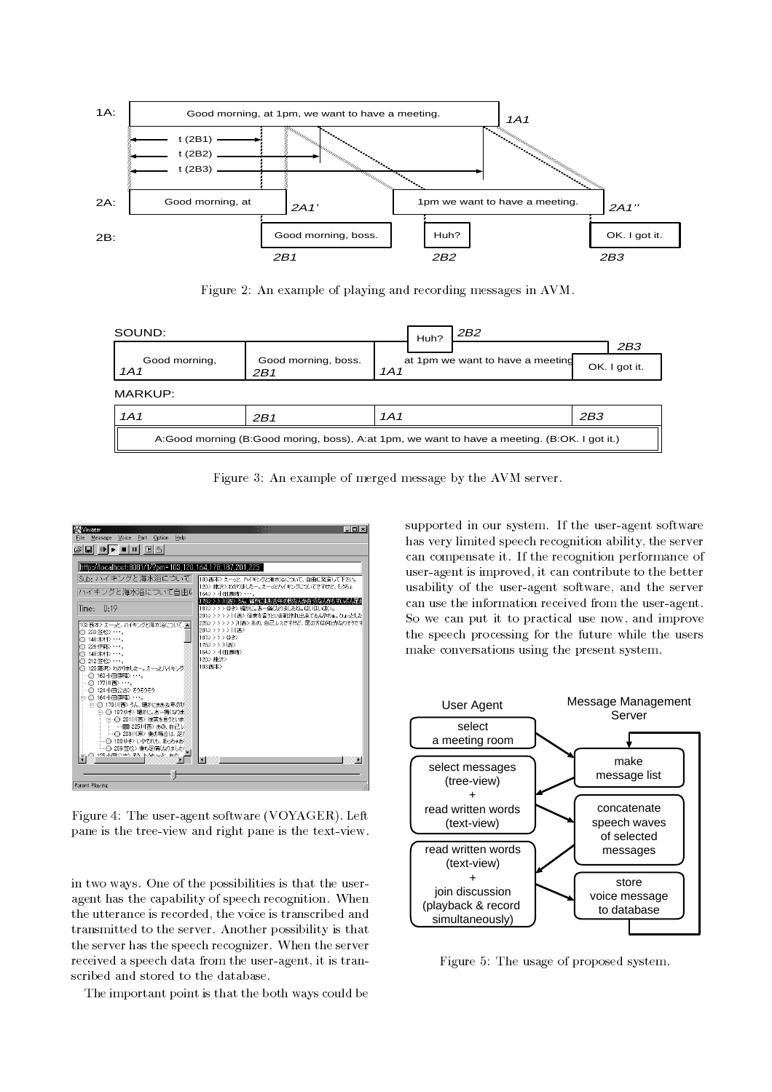

Figure 2: An example of playing and recording messages in AVM.

| SOUND:                                                                                       |                            | 2B2<br>Huh?                             |               |
|----------------------------------------------------------------------------------------------|----------------------------|-----------------------------------------|---------------|
|                                                                                              |                            |                                         | 2B3           |
| Good morning,<br>1A1                                                                         | Good morning, boss.<br>2B1 | at 1pm we want to have a meeting<br>1A1 | OK. I got it. |
| MARKUP:                                                                                      |                            |                                         |               |
| 1A1                                                                                          | 2B1                        | 1A1                                     | 2B3           |
| A:Good morning (B:Good moring, boss), A:at 1pm, we want to have a meeting. (B:OK. I got it.) |                            |                                         |               |

Figure 3: An example of merged message by the AVM server.



Figure 4: The user-agent software (VOYAGER). Left pane is the tree-view and right pane is the text-view.

in two ways. One of the possibilities is that the useragent has the capability of speech recognition. When the utterance is recorded, the voice is transcribed and transmitted to the server. Another possibility is that the server has the speech recognizer. When the server received a speech data from the user-agent, it is transcribed and stored to the database.

The important point is that the both ways could be

supported in our system. If the user-agent software has very limited speech recognition ability, the server can compensate it. If the recognition performance of user-agent is improved, it can contribute to the better usability of the user-agent software, and the server can use the information received from the user-agent. So we can put it to practical use now, and improve the speech processing for the future while the users make conversations using the present system.



Figure 5: The usage of proposed system.